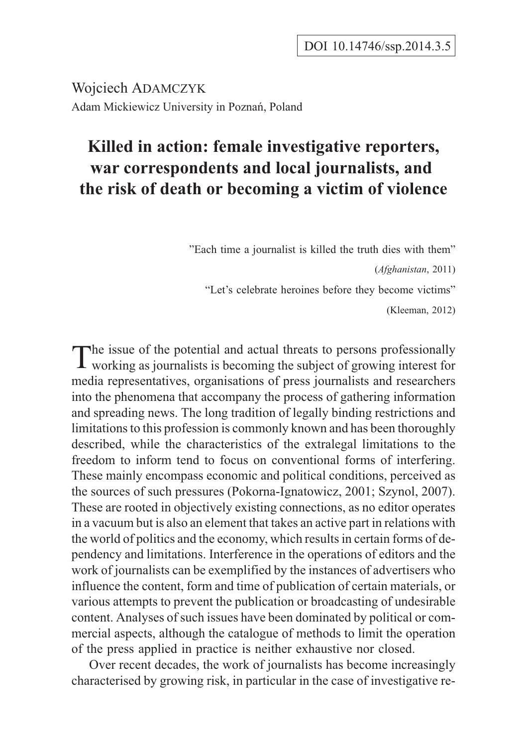Wojciech ADAMCZYK Adam Mickiewicz University in Poznañ, Poland

# **Killed in action: female investigative reporters, war correspondents and local journalists, and the risk of death or becoming a victim of violence**

"Each time a journalist is killed the truth dies with them" (*Afghanistan*, 2011) "Let's celebrate heroines before they become victims"

(Kleeman, 2012)

The issue of the potential and actual threats to persons professionally working as journalists is becoming the subject of growing interest for media representatives, organisations of press journalists and researchers into the phenomena that accompany the process of gathering information and spreading news. The long tradition of legally binding restrictions and limitations to this profession is commonly known and has been thoroughly described, while the characteristics of the extralegal limitations to the freedom to inform tend to focus on conventional forms of interfering. These mainly encompass economic and political conditions, perceived as the sources of such pressures (Pokorna-Ignatowicz, 2001; Szynol, 2007). These are rooted in objectively existing connections, as no editor operates in a vacuum but is also an element that takes an active part in relations with the world of politics and the economy, which results in certain forms of dependency and limitations. Interference in the operations of editors and the work of journalists can be exemplified by the instances of advertisers who influence the content, form and time of publication of certain materials, or various attempts to prevent the publication or broadcasting of undesirable content. Analyses of such issues have been dominated by political or commercial aspects, although the catalogue of methods to limit the operation of the press applied in practice is neither exhaustive nor closed.

Over recent decades, the work of journalists has become increasingly characterised by growing risk, in particular in the case of investigative re-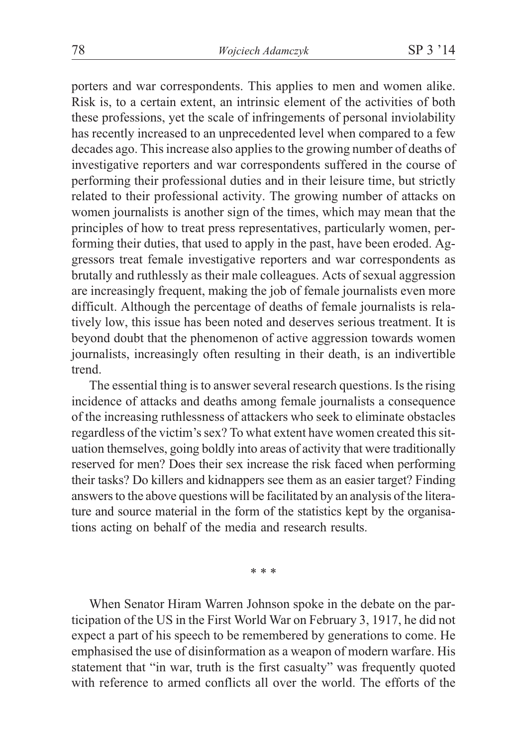porters and war correspondents. This applies to men and women alike. Risk is, to a certain extent, an intrinsic element of the activities of both these professions, yet the scale of infringements of personal inviolability has recently increased to an unprecedented level when compared to a few decades ago. This increase also applies to the growing number of deaths of investigative reporters and war correspondents suffered in the course of performing their professional duties and in their leisure time, but strictly related to their professional activity. The growing number of attacks on women journalists is another sign of the times, which may mean that the principles of how to treat press representatives, particularly women, performing their duties, that used to apply in the past, have been eroded. Aggressors treat female investigative reporters and war correspondents as brutally and ruthlessly as their male colleagues. Acts of sexual aggression are increasingly frequent, making the job of female journalists even more difficult. Although the percentage of deaths of female journalists is relatively low, this issue has been noted and deserves serious treatment. It is beyond doubt that the phenomenon of active aggression towards women journalists, increasingly often resulting in their death, is an indivertible trend.

The essential thing is to answer several research questions. Is the rising incidence of attacks and deaths among female journalists a consequence of the increasing ruthlessness of attackers who seek to eliminate obstacles regardless of the victim's sex? To what extent have women created this situation themselves, going boldly into areas of activity that were traditionally reserved for men? Does their sex increase the risk faced when performing their tasks? Do killers and kidnappers see them as an easier target? Finding answers to the above questions will be facilitated by an analysis of the literature and source material in the form of the statistics kept by the organisations acting on behalf of the media and research results.

\*\*\*

When Senator Hiram Warren Johnson spoke in the debate on the participation of the US in the First World War on February 3, 1917, he did not expect a part of his speech to be remembered by generations to come. He emphasised the use of disinformation as a weapon of modern warfare. His statement that "in war, truth is the first casualty" was frequently quoted with reference to armed conflicts all over the world. The efforts of the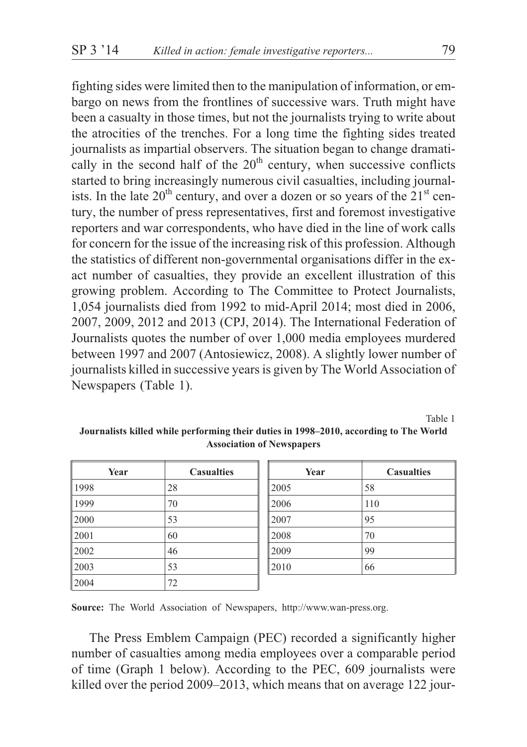fighting sides were limited then to the manipulation of information, or embargo on news from the frontlines of successive wars. Truth might have been a casualty in those times, but not the journalists trying to write about the atrocities of the trenches. For a long time the fighting sides treated journalists as impartial observers. The situation began to change dramatically in the second half of the  $20<sup>th</sup>$  century, when successive conflicts started to bring increasingly numerous civil casualties, including journalists. In the late  $20<sup>th</sup>$  century, and over a dozen or so years of the  $21<sup>st</sup>$  century, the number of press representatives, first and foremost investigative reporters and war correspondents, who have died in the line of work calls for concern for the issue of the increasing risk of this profession. Although the statistics of different non-governmental organisations differ in the exact number of casualties, they provide an excellent illustration of this growing problem. According to The Committee to Protect Journalists, 1,054 journalists died from 1992 to mid-April 2014; most died in 2006, 2007, 2009, 2012 and 2013 (CPJ, 2014). The International Federation of Journalists quotes the number of over 1,000 media employees murdered between 1997 and 2007 (Antosiewicz, 2008). A slightly lower number of journalists killed in successive years is given by The World Association of Newspapers (Table 1).

Table 1

**Journalists killed while performing their duties in 1998–2010, according to The World Association of Newspapers**

| Year | <b>Casualties</b> |
|------|-------------------|
| 1998 | 28                |
| 1999 | 70                |
| 2000 | 53                |
| 2001 | 60                |
| 2002 | 46                |
| 2003 | 53                |
| 2004 | 72                |

| Year | <b>Casualties</b> |
|------|-------------------|
| 2005 | 58                |
| 2006 | 110               |
| 2007 | 95                |
| 2008 | 70                |
| 2009 | 99                |
| 2010 | 66                |

**Source:** The World Association of Newspapers, http://www.wan-press.org.

The Press Emblem Campaign (PEC) recorded a significantly higher number of casualties among media employees over a comparable period of time (Graph 1 below). According to the PEC, 609 journalists were killed over the period 2009–2013, which means that on average 122 jour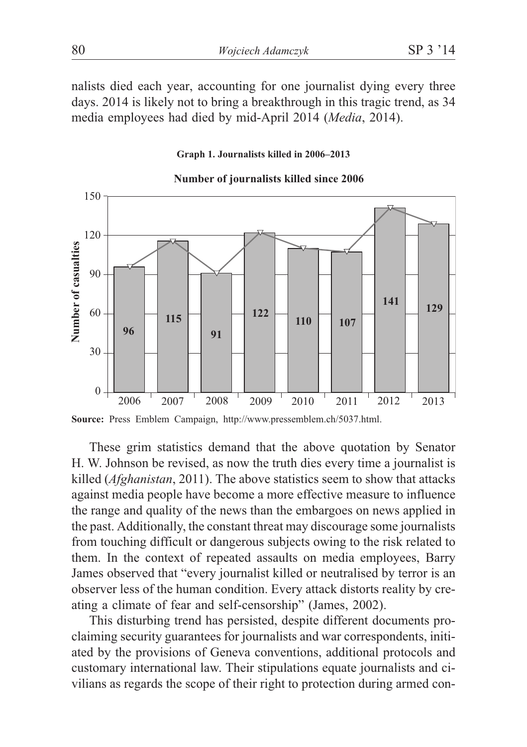nalists died each year, accounting for one journalist dying every three days. 2014 is likely not to bring a breakthrough in this tragic trend, as 34 media employees had died by mid-April 2014 (*Media*, 2014).

#### **Graph 1. Journalists killed in 2006–2013**



#### **Number of journalists killed since 2006**

**Source:** Press Emblem Campaign, http://www.pressemblem.ch/5037.html.

These grim statistics demand that the above quotation by Senator H. W. Johnson be revised, as now the truth dies every time a journalist is killed (*Afghanistan*, 2011). The above statistics seem to show that attacks against media people have become a more effective measure to influence the range and quality of the news than the embargoes on news applied in the past. Additionally, the constant threat may discourage some journalists from touching difficult or dangerous subjects owing to the risk related to them. In the context of repeated assaults on media employees, Barry James observed that "every journalist killed or neutralised by terror is an observer less of the human condition. Every attack distorts reality by creating a climate of fear and self-censorship" (James, 2002).

This disturbing trend has persisted, despite different documents proclaiming security guarantees for journalists and war correspondents, initiated by the provisions of Geneva conventions, additional protocols and customary international law. Their stipulations equate journalists and civilians as regards the scope of their right to protection during armed con-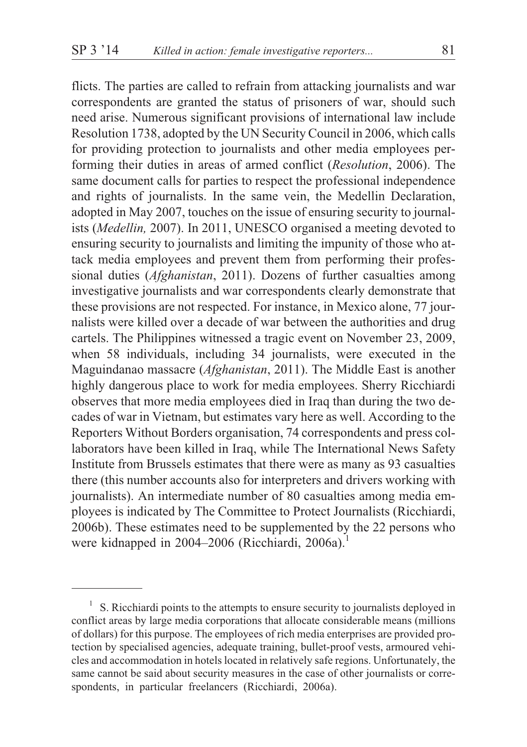flicts. The parties are called to refrain from attacking journalists and war correspondents are granted the status of prisoners of war, should such need arise. Numerous significant provisions of international law include Resolution 1738, adopted by the UN Security Council in 2006, which calls for providing protection to journalists and other media employees performing their duties in areas of armed conflict (*Resolution*, 2006). The same document calls for parties to respect the professional independence and rights of journalists. In the same vein, the Medellin Declaration, adopted in May 2007, touches on the issue of ensuring security to journalists (*Medellin,* 2007). In 2011, UNESCO organised a meeting devoted to ensuring security to journalists and limiting the impunity of those who attack media employees and prevent them from performing their professional duties (*Afghanistan*, 2011). Dozens of further casualties among investigative journalists and war correspondents clearly demonstrate that these provisions are not respected. For instance, in Mexico alone, 77 journalists were killed over a decade of war between the authorities and drug cartels. The Philippines witnessed a tragic event on November 23, 2009, when 58 individuals, including 34 journalists, were executed in the Maguindanao massacre (*Afghanistan*, 2011). The Middle East is another highly dangerous place to work for media employees. Sherry Ricchiardi observes that more media employees died in Iraq than during the two decades of war in Vietnam, but estimates vary here as well. According to the Reporters Without Borders organisation, 74 correspondents and press collaborators have been killed in Iraq, while The International News Safety Institute from Brussels estimates that there were as many as 93 casualties there (this number accounts also for interpreters and drivers working with journalists). An intermediate number of 80 casualties among media employees is indicated by The Committee to Protect Journalists (Ricchiardi, 2006b). These estimates need to be supplemented by the 22 persons who were kidnapped in 2004–2006 (Ricchiardi, 2006a).<sup>1</sup>

<sup>1</sup> S. Ricchiardi points to the attempts to ensure security to journalists deployed in conflict areas by large media corporations that allocate considerable means (millions of dollars) for this purpose. The employees of rich media enterprises are provided protection by specialised agencies, adequate training, bullet-proof vests, armoured vehicles and accommodation in hotels located in relatively safe regions. Unfortunately, the same cannot be said about security measures in the case of other journalists or correspondents, in particular freelancers (Ricchiardi, 2006a).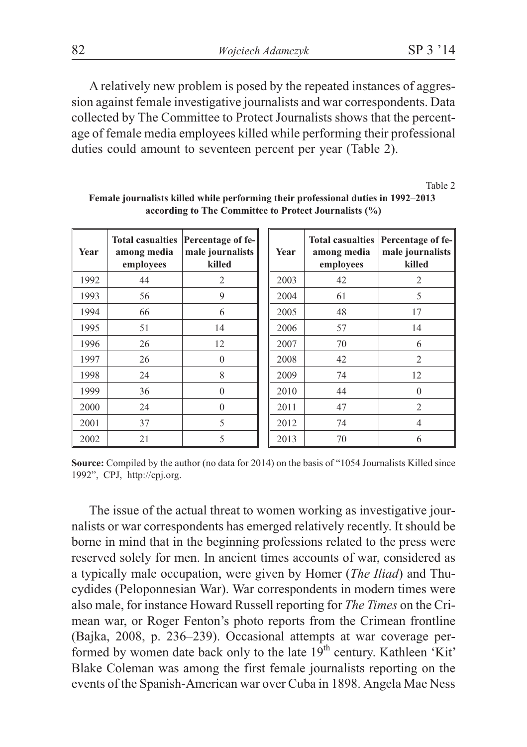A relatively new problem is posed by the repeated instances of aggression against female investigative journalists and war correspondents. Data collected by The Committee to Protect Journalists shows that the percentage of female media employees killed while performing their professional duties could amount to seventeen percent per year (Table 2).

Table 2

| Year | <b>Total casualties</b><br>among media<br>employees | Percentage of fe-<br>male journalists<br>killed | Year | Total casualties<br>among media<br>employees | Percentage of fe-<br>male journalists<br>killed |
|------|-----------------------------------------------------|-------------------------------------------------|------|----------------------------------------------|-------------------------------------------------|
| 1992 | 44                                                  | 2                                               | 2003 | 42                                           | $\overline{c}$                                  |
| 1993 | 56                                                  | 9                                               | 2004 | 61                                           | 5                                               |
| 1994 | 66                                                  | 6                                               | 2005 | 48                                           | 17                                              |
| 1995 | 51                                                  | 14                                              | 2006 | 57                                           | 14                                              |
| 1996 | 26                                                  | 12                                              | 2007 | 70                                           | 6                                               |
| 1997 | 26                                                  | $\Omega$                                        | 2008 | 42                                           | 2                                               |
| 1998 | 24                                                  | 8                                               | 2009 | 74                                           | 12                                              |
| 1999 | 36                                                  | $\Omega$                                        | 2010 | 44                                           | $\Omega$                                        |
| 2000 | 24                                                  | $\Omega$                                        | 2011 | 47                                           | $\overline{2}$                                  |
| 2001 | 37                                                  | 5                                               | 2012 | 74                                           | 4                                               |
| 2002 | 21                                                  | 5                                               | 2013 | 70                                           | 6                                               |

**Female journalists killed while performing their professional duties in 1992–2013 according to The Committee to Protect Journalists (%)**

**Source:** Compiled by the author (no data for 2014) on the basis of "1054 Journalists Killed since 1992", CPJ, http://cpj.org.

The issue of the actual threat to women working as investigative journalists or war correspondents has emerged relatively recently. It should be borne in mind that in the beginning professions related to the press were reserved solely for men. In ancient times accounts of war, considered as a typically male occupation, were given by Homer (*The Iliad*) and Thucydides (Peloponnesian War). War correspondents in modern times were also male, for instance Howard Russell reporting for *The Times* on the Crimean war, or Roger Fenton's photo reports from the Crimean frontline (Bajka, 2008, p. 236–239). Occasional attempts at war coverage performed by women date back only to the late  $19<sup>th</sup>$  century. Kathleen 'Kit' Blake Coleman was among the first female journalists reporting on the events of the Spanish-American war over Cuba in 1898. Angela Mae Ness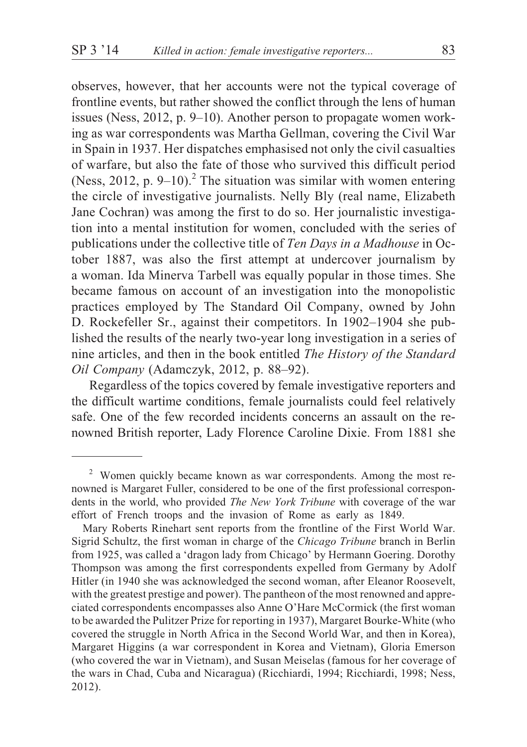observes, however, that her accounts were not the typical coverage of frontline events, but rather showed the conflict through the lens of human issues (Ness, 2012, p. 9–10). Another person to propagate women working as war correspondents was Martha Gellman, covering the Civil War in Spain in 1937. Her dispatches emphasised not only the civil casualties of warfare, but also the fate of those who survived this difficult period (Ness, 2012, p.  $9-10$ ).<sup>2</sup> The situation was similar with women entering the circle of investigative journalists. Nelly Bly (real name, Elizabeth Jane Cochran) was among the first to do so. Her journalistic investigation into a mental institution for women, concluded with the series of publications under the collective title of *Ten Days in a Madhouse* in October 1887, was also the first attempt at undercover journalism by a woman. Ida Minerva Tarbell was equally popular in those times. She became famous on account of an investigation into the monopolistic practices employed by The Standard Oil Company, owned by John D. Rockefeller Sr., against their competitors. In 1902–1904 she published the results of the nearly two-year long investigation in a series of nine articles, and then in the book entitled *The History of the Standard Oil Company* (Adamczyk, 2012, p. 88–92).

Regardless of the topics covered by female investigative reporters and the difficult wartime conditions, female journalists could feel relatively safe. One of the few recorded incidents concerns an assault on the renowned British reporter, Lady Florence Caroline Dixie. From 1881 she

 $2$  Women quickly became known as war correspondents. Among the most renowned is Margaret Fuller, considered to be one of the first professional correspondents in the world, who provided *The New York Tribune* with coverage of the war effort of French troops and the invasion of Rome as early as 1849.

Mary Roberts Rinehart sent reports from the frontline of the First World War. Sigrid Schultz, the first woman in charge of the *Chicago Tribune* branch in Berlin from 1925, was called a 'dragon lady from Chicago' by Hermann Goering. Dorothy Thompson was among the first correspondents expelled from Germany by Adolf Hitler (in 1940 she was acknowledged the second woman, after Eleanor Roosevelt, with the greatest prestige and power). The pantheon of the most renowned and appreciated correspondents encompasses also Anne O'Hare McCormick (the first woman to be awarded the Pulitzer Prize for reporting in 1937), Margaret Bourke-White (who covered the struggle in North Africa in the Second World War, and then in Korea), Margaret Higgins (a war correspondent in Korea and Vietnam), Gloria Emerson (who covered the war in Vietnam), and Susan Meiselas (famous for her coverage of the wars in Chad, Cuba and Nicaragua) (Ricchiardi, 1994; Ricchiardi, 1998; Ness, 2012).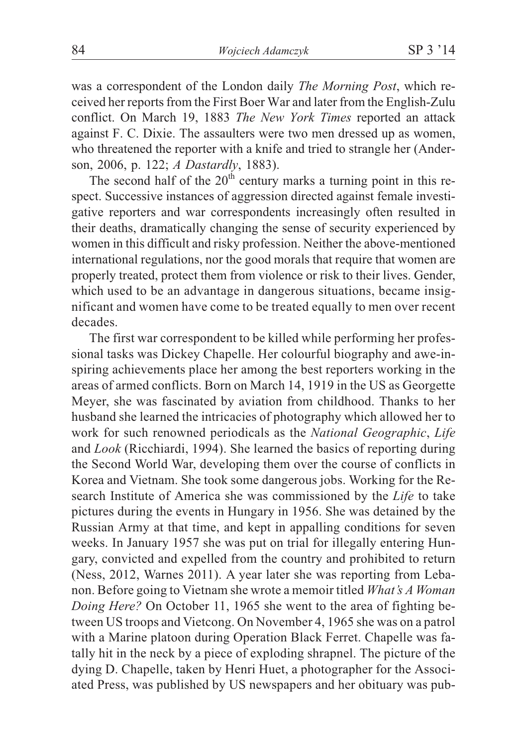was a correspondent of the London daily *The Morning Post*, which received her reports from the First Boer War and later from the English-Zulu conflict. On March 19, 1883 *The New York Times* reported an attack against F. C. Dixie. The assaulters were two men dressed up as women, who threatened the reporter with a knife and tried to strangle her (Anderson, 2006, p. 122; *A Dastardly*, 1883).

The second half of the  $20<sup>th</sup>$  century marks a turning point in this respect. Successive instances of aggression directed against female investigative reporters and war correspondents increasingly often resulted in their deaths, dramatically changing the sense of security experienced by women in this difficult and risky profession. Neither the above-mentioned international regulations, nor the good morals that require that women are properly treated, protect them from violence or risk to their lives. Gender, which used to be an advantage in dangerous situations, became insignificant and women have come to be treated equally to men over recent decades.

The first war correspondent to be killed while performing her professional tasks was Dickey Chapelle. Her colourful biography and awe-inspiring achievements place her among the best reporters working in the areas of armed conflicts. Born on March 14, 1919 in the US as Georgette Meyer, she was fascinated by aviation from childhood. Thanks to her husband she learned the intricacies of photography which allowed her to work for such renowned periodicals as the *National Geographic*, *Life* and *Look* (Ricchiardi, 1994). She learned the basics of reporting during the Second World War, developing them over the course of conflicts in Korea and Vietnam. She took some dangerous jobs. Working for the Research Institute of America she was commissioned by the *Life* to take pictures during the events in Hungary in 1956. She was detained by the Russian Army at that time, and kept in appalling conditions for seven weeks. In January 1957 she was put on trial for illegally entering Hungary, convicted and expelled from the country and prohibited to return (Ness, 2012, Warnes 2011). A year later she was reporting from Lebanon. Before going to Vietnam she wrote a memoir titled *What's A Woman Doing Here?* On October 11, 1965 she went to the area of fighting between US troops and Vietcong. On November 4, 1965 she was on a patrol with a Marine platoon during Operation Black Ferret. Chapelle was fatally hit in the neck by a piece of exploding shrapnel. The picture of the dying D. Chapelle, taken by Henri Huet, a photographer for the Associated Press, was published by US newspapers and her obituary was pub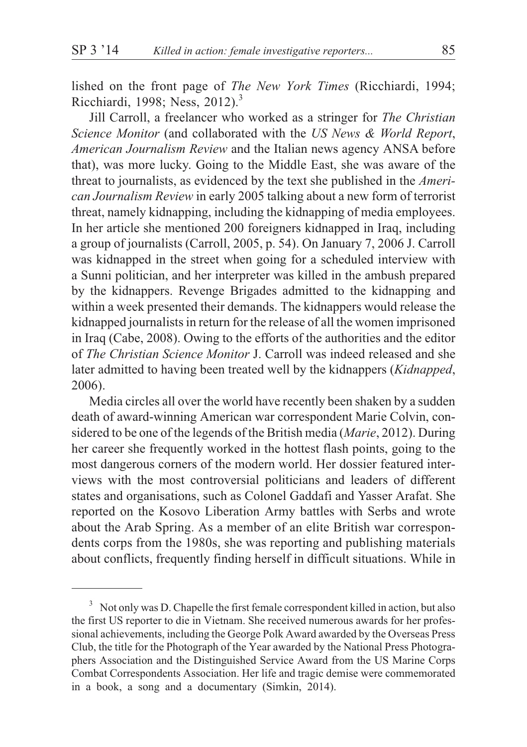lished on the front page of *The New York Times* (Ricchiardi, 1994; Ricchiardi, 1998; Ness, 2012).<sup>3</sup>

Jill Carroll, a freelancer who worked as a stringer for *The Christian Science Monitor* (and collaborated with the *US News & World Report*, *American Journalism Review* and the Italian news agency ANSA before that), was more lucky. Going to the Middle East, she was aware of the threat to journalists, as evidenced by the text she published in the *American Journalism Review* in early 2005 talking about a new form of terrorist threat, namely kidnapping, including the kidnapping of media employees. In her article she mentioned 200 foreigners kidnapped in Iraq, including a group of journalists (Carroll, 2005, p. 54). On January 7, 2006 J. Carroll was kidnapped in the street when going for a scheduled interview with a Sunni politician, and her interpreter was killed in the ambush prepared by the kidnappers. Revenge Brigades admitted to the kidnapping and within a week presented their demands. The kidnappers would release the kidnapped journalists in return for the release of all the women imprisoned in Iraq (Cabe, 2008). Owing to the efforts of the authorities and the editor of *The Christian Science Monitor* J. Carroll was indeed released and she later admitted to having been treated well by the kidnappers (*Kidnapped*, 2006).

Media circles all over the world have recently been shaken by a sudden death of award-winning American war correspondent Marie Colvin, considered to be one of the legends of the British media (*Marie*, 2012). During her career she frequently worked in the hottest flash points, going to the most dangerous corners of the modern world. Her dossier featured interviews with the most controversial politicians and leaders of different states and organisations, such as Colonel Gaddafi and Yasser Arafat. She reported on the Kosovo Liberation Army battles with Serbs and wrote about the Arab Spring. As a member of an elite British war correspondents corps from the 1980s, she was reporting and publishing materials about conflicts, frequently finding herself in difficult situations. While in

<sup>3</sup> Not only was D. Chapelle the first female correspondent killed in action, but also the first US reporter to die in Vietnam. She received numerous awards for her professional achievements, including the George Polk Award awarded by the Overseas Press Club, the title for the Photograph of the Year awarded by the National Press Photographers Association and the Distinguished Service Award from the US Marine Corps Combat Correspondents Association. Her life and tragic demise were commemorated in a book, a song and a documentary (Simkin, 2014).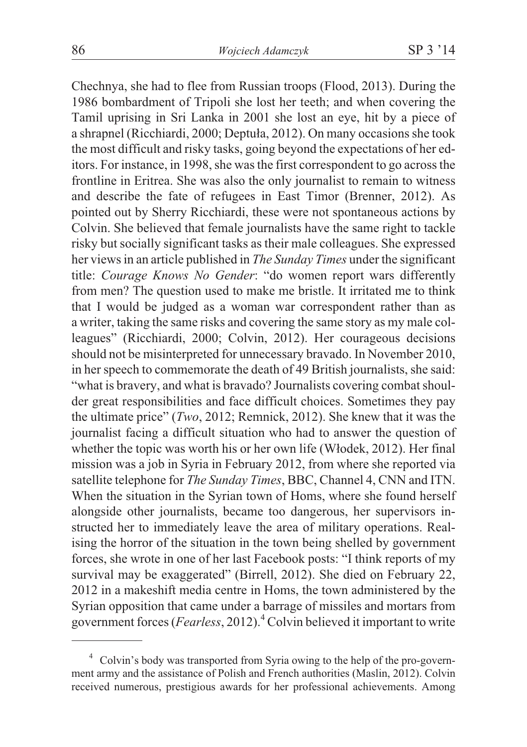Chechnya, she had to flee from Russian troops (Flood, 2013). During the 1986 bombardment of Tripoli she lost her teeth; and when covering the Tamil uprising in Sri Lanka in 2001 she lost an eye, hit by a piece of a shrapnel (Ricchiardi, 2000; Deptuła, 2012). On many occasions she took the most difficult and risky tasks, going beyond the expectations of her editors. For instance, in 1998, she was the first correspondent to go across the frontline in Eritrea. She was also the only journalist to remain to witness and describe the fate of refugees in East Timor (Brenner, 2012). As pointed out by Sherry Ricchiardi, these were not spontaneous actions by Colvin. She believed that female journalists have the same right to tackle risky but socially significant tasks as their male colleagues. She expressed her views in an article published in *The Sunday Times* under the significant title: *Courage Knows No Gender*: "do women report wars differently from men? The question used to make me bristle. It irritated me to think that I would be judged as a woman war correspondent rather than as a writer, taking the same risks and covering the same story as my male colleagues" (Ricchiardi, 2000; Colvin, 2012). Her courageous decisions should not be misinterpreted for unnecessary bravado. In November 2010, in her speech to commemorate the death of 49 British journalists, she said: "what is bravery, and what is bravado? Journalists covering combat shoulder great responsibilities and face difficult choices. Sometimes they pay the ultimate price" (*Two*, 2012; Remnick, 2012). She knew that it was the journalist facing a difficult situation who had to answer the question of whether the topic was worth his or her own life (Włodek, 2012). Her final mission was a job in Syria in February 2012, from where she reported via satellite telephone for *The Sunday Times*, BBC, Channel 4, CNN and ITN. When the situation in the Syrian town of Homs, where she found herself alongside other journalists, became too dangerous, her supervisors instructed her to immediately leave the area of military operations. Realising the horror of the situation in the town being shelled by government forces, she wrote in one of her last Facebook posts: "I think reports of my survival may be exaggerated" (Birrell, 2012). She died on February 22, 2012 in a makeshift media centre in Homs, the town administered by the Syrian opposition that came under a barrage of missiles and mortars from government forces (*Fearless*, 2012).<sup>4</sup> Colvin believed it important to write

<sup>4</sup> Colvin's body was transported from Syria owing to the help of the pro-government army and the assistance of Polish and French authorities (Maslin, 2012). Colvin received numerous, prestigious awards for her professional achievements. Among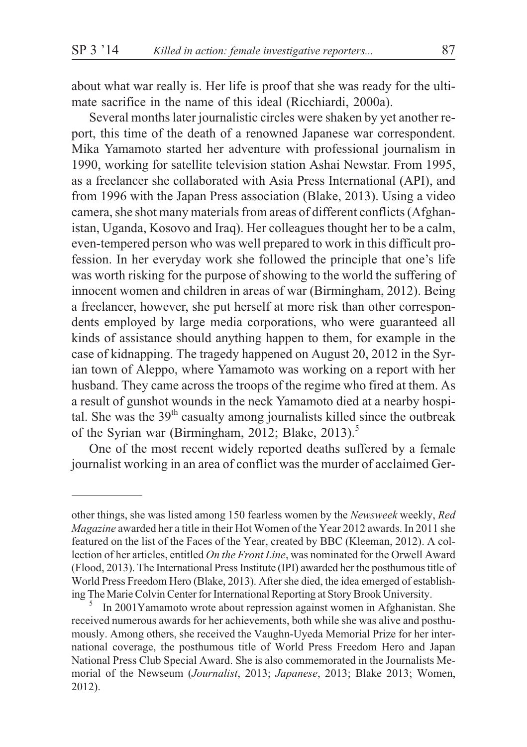about what war really is. Her life is proof that she was ready for the ultimate sacrifice in the name of this ideal (Ricchiardi, 2000a).

Several months later journalistic circles were shaken by yet another report, this time of the death of a renowned Japanese war correspondent. Mika Yamamoto started her adventure with professional journalism in 1990, working for satellite television station Ashai Newstar. From 1995, as a freelancer she collaborated with Asia Press International (API), and from 1996 with the Japan Press association (Blake, 2013). Using a video camera, she shot many materials from areas of different conflicts (Afghanistan, Uganda, Kosovo and Iraq). Her colleagues thought her to be a calm, even-tempered person who was well prepared to work in this difficult profession. In her everyday work she followed the principle that one's life was worth risking for the purpose of showing to the world the suffering of innocent women and children in areas of war (Birmingham, 2012). Being a freelancer, however, she put herself at more risk than other correspondents employed by large media corporations, who were guaranteed all kinds of assistance should anything happen to them, for example in the case of kidnapping. The tragedy happened on August 20, 2012 in the Syrian town of Aleppo, where Yamamoto was working on a report with her husband. They came across the troops of the regime who fired at them. As a result of gunshot wounds in the neck Yamamoto died at a nearby hospital. She was the  $39<sup>th</sup>$  casualty among journalists killed since the outbreak of the Syrian war (Birmingham, 2012; Blake, 2013).<sup>5</sup>

One of the most recent widely reported deaths suffered by a female journalist working in an area of conflict was the murder of acclaimed Ger-

other things, she was listed among 150 fearless women by the *Newsweek* weekly, *Red Magazine* awarded her a title in their Hot Women of the Year 2012 awards. In 2011 she featured on the list of the Faces of the Year, created by BBC (Kleeman, 2012). A collection of her articles, entitled *On the Front Line*, was nominated for the Orwell Award (Flood, 2013). The International Press Institute (IPI) awarded her the posthumous title of World Press Freedom Hero (Blake, 2013). After she died, the idea emerged of establishing The Marie Colvin Center for International Reporting at Story Brook University.<br><sup>5</sup> In 2001Yamamoto wrote about repression against women in Afghanistan. She

received numerous awards for her achievements, both while she was alive and posthumously. Among others, she received the Vaughn-Uyeda Memorial Prize for her international coverage, the posthumous title of World Press Freedom Hero and Japan National Press Club Special Award. She is also commemorated in the Journalists Memorial of the Newseum (*Journalist*, 2013; *Japanese*, 2013; Blake 2013; Women, 2012).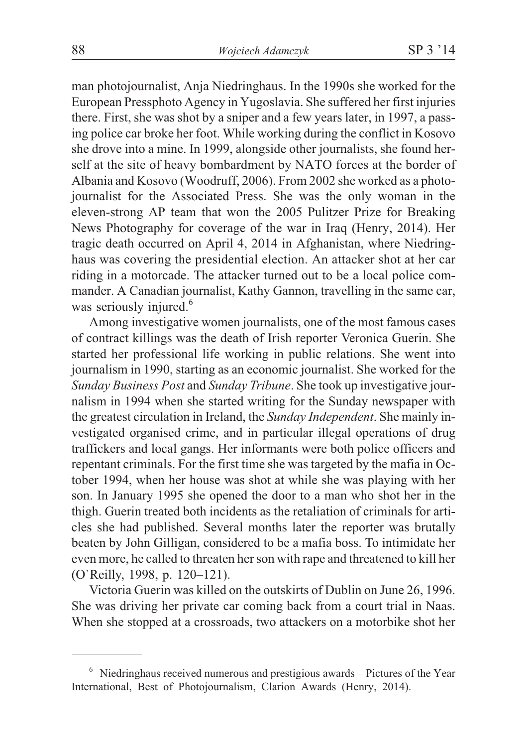man photojournalist, Anja Niedringhaus. In the 1990s she worked for the European Pressphoto Agency in Yugoslavia. She suffered her first injuries there. First, she was shot by a sniper and a few years later, in 1997, a passing police car broke her foot. While working during the conflict in Kosovo she drove into a mine. In 1999, alongside other journalists, she found herself at the site of heavy bombardment by NATO forces at the border of Albania and Kosovo (Woodruff, 2006). From 2002 she worked as a photojournalist for the Associated Press. She was the only woman in the eleven-strong AP team that won the 2005 Pulitzer Prize for Breaking News Photography for coverage of the war in Iraq (Henry, 2014). Her tragic death occurred on April 4, 2014 in Afghanistan, where Niedringhaus was covering the presidential election. An attacker shot at her car riding in a motorcade. The attacker turned out to be a local police commander. A Canadian journalist, Kathy Gannon, travelling in the same car, was seriously injured.<sup>6</sup>

Among investigative women journalists, one of the most famous cases of contract killings was the death of Irish reporter Veronica Guerin. She started her professional life working in public relations. She went into journalism in 1990, starting as an economic journalist. She worked for the *Sunday Business Post* and *Sunday Tribune*. She took up investigative journalism in 1994 when she started writing for the Sunday newspaper with the greatest circulation in Ireland, the *Sunday Independent*. She mainly investigated organised crime, and in particular illegal operations of drug traffickers and local gangs. Her informants were both police officers and repentant criminals. For the first time she was targeted by the mafia in October 1994, when her house was shot at while she was playing with her son. In January 1995 she opened the door to a man who shot her in the thigh. Guerin treated both incidents as the retaliation of criminals for articles she had published. Several months later the reporter was brutally beaten by John Gilligan, considered to be a mafia boss. To intimidate her even more, he called to threaten her son with rape and threatened to kill her (O`Reilly, 1998, p. 120–121).

Victoria Guerin was killed on the outskirts of Dublin on June 26, 1996. She was driving her private car coming back from a court trial in Naas. When she stopped at a crossroads, two attackers on a motorbike shot her

 $6$  Niedringhaus received numerous and prestigious awards – Pictures of the Year International, Best of Photojournalism, Clarion Awards (Henry, 2014).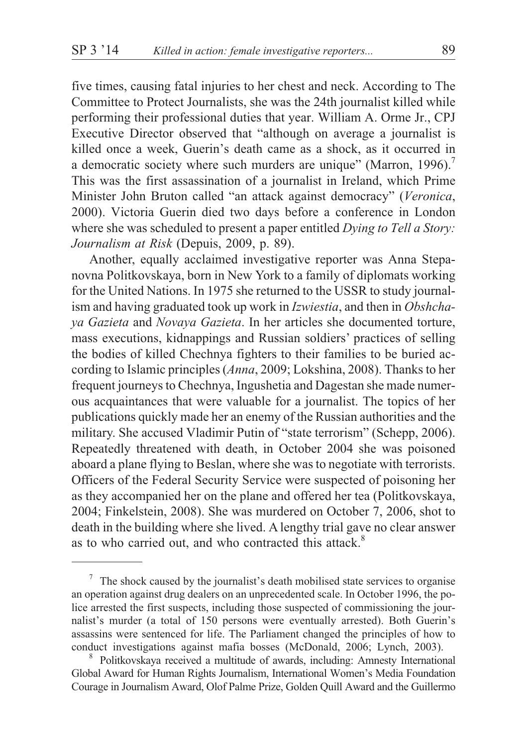five times, causing fatal injuries to her chest and neck. According to The Committee to Protect Journalists, she was the 24th journalist killed while performing their professional duties that year. William A. Orme Jr., CPJ Executive Director observed that "although on average a journalist is killed once a week, Guerin's death came as a shock, as it occurred in a democratic society where such murders are unique" (Marron, 1996).<sup>7</sup> This was the first assassination of a journalist in Ireland, which Prime Minister John Bruton called "an attack against democracy" (*Veronica*, 2000). Victoria Guerin died two days before a conference in London where she was scheduled to present a paper entitled *Dying to Tell a Story: Journalism at Risk* (Depuis, 2009, p. 89).

Another, equally acclaimed investigative reporter was Anna Stepanovna Politkovskaya, born in New York to a family of diplomats working for the United Nations. In 1975 she returned to the USSR to study journalism and having graduated took up work in *Izwiestia*, and then in *Obshchaya Gazieta* and *Novaya Gazieta*. In her articles she documented torture, mass executions, kidnappings and Russian soldiers' practices of selling the bodies of killed Chechnya fighters to their families to be buried according to Islamic principles (*Anna*, 2009; Lokshina, 2008). Thanks to her frequent journeys to Chechnya, Ingushetia and Dagestan she made numerous acquaintances that were valuable for a journalist. The topics of her publications quickly made her an enemy of the Russian authorities and the military. She accused Vladimir Putin of "state terrorism" (Schepp, 2006). Repeatedly threatened with death, in October 2004 she was poisoned aboard a plane flying to Beslan, where she was to negotiate with terrorists. Officers of the Federal Security Service were suspected of poisoning her as they accompanied her on the plane and offered her tea (Politkovskaya, 2004; Finkelstein, 2008). She was murdered on October 7, 2006, shot to death in the building where she lived. A lengthy trial gave no clear answer as to who carried out, and who contracted this attack.<sup>8</sup>

 $7$  The shock caused by the journalist's death mobilised state services to organise an operation against drug dealers on an unprecedented scale. In October 1996, the police arrested the first suspects, including those suspected of commissioning the journalist's murder (a total of 150 persons were eventually arrested). Both Guerin's assassins were sentenced for life. The Parliament changed the principles of how to conduct investigations against mafia bosses (McDonald, 2006; Lynch, 2003). <sup>8</sup> Politkovskaya received a multitude of awards, including: Amnesty International

Global Award for Human Rights Journalism, International Women's Media Foundation Courage in Journalism Award, Olof Palme Prize, Golden Quill Award and the Guillermo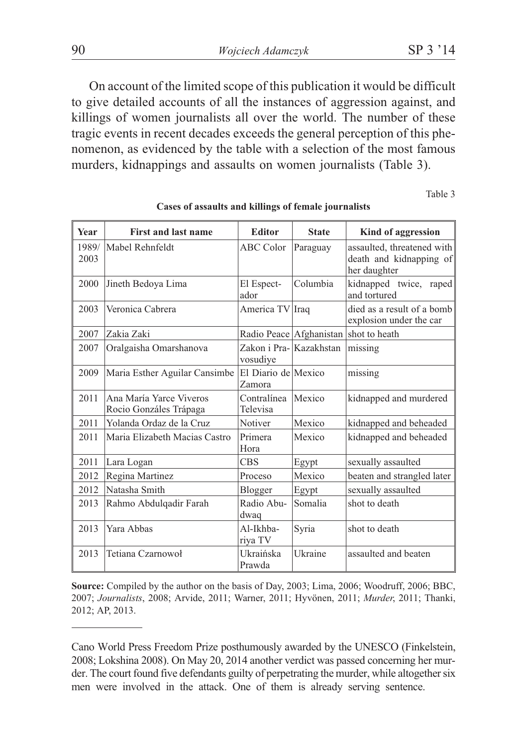90 *Wojciech Adamczyk* SP 3 '14

On account of the limited scope of this publication it would be difficult to give detailed accounts of all the instances of aggression against, and killings of women journalists all over the world. The number of these tragic events in recent decades exceeds the general perception of this phenomenon, as evidenced by the table with a selection of the most famous murders, kidnappings and assaults on women journalists (Table 3).

Table 3

| Year          | <b>First and last name</b>                        | <b>Editor</b>                       | <b>State</b>            | Kind of aggression                                                    |
|---------------|---------------------------------------------------|-------------------------------------|-------------------------|-----------------------------------------------------------------------|
| 1989/<br>2003 | Mabel Rehnfeldt                                   | <b>ABC</b> Color                    | Paraguay                | assaulted, threatened with<br>death and kidnapping of<br>her daughter |
| 2000          | Jineth Bedoya Lima                                | El Espect-<br>ador                  | Columbia                | kidnapped twice, raped<br>and tortured                                |
| 2003          | Veronica Cabrera                                  | America TV Iraq                     |                         | died as a result of a bomb<br>explosion under the car                 |
| 2007          | Zakia Zaki                                        |                                     | Radio Peace Afghanistan | shot to heath                                                         |
| 2007          | Oralgaisha Omarshanova                            | Zakon i Pra- Kazakhstan<br>vosudiye |                         | missing                                                               |
| 2009          | Maria Esther Aguilar Cansimbe                     | El Diario de Mexico<br>Zamora       |                         | missing                                                               |
| 2011          | Ana María Yarce Viveros<br>Rocio Gonzáles Trápaga | Contralínea<br>Televisa             | Mexico                  | kidnapped and murdered                                                |
| 2011          | Yolanda Ordaz de la Cruz                          | Notiver                             | Mexico                  | kidnapped and beheaded                                                |
| 2011          | Maria Elizabeth Macias Castro                     | Primera<br>Hora                     | Mexico                  | kidnapped and beheaded                                                |
| 2011          | Lara Logan                                        | <b>CBS</b>                          | Egypt                   | sexually assaulted                                                    |
| 2012          | Regina Martinez                                   | Proceso                             | Mexico                  | beaten and strangled later                                            |
| 2012          | Natasha Smith                                     | Blogger                             | Egypt                   | sexually assaulted                                                    |
| 2013          | Rahmo Abdulqadir Farah                            | Radio Abu-<br>dwaq                  | Somalia                 | shot to death                                                         |
| 2013          | Yara Abbas                                        | Al-Ikhba-<br>riya TV                | Syria                   | shot to death                                                         |
| 2013          | Tetiana Czarnowoł                                 | Ukraińska<br>Prawda                 | Ukraine                 | assaulted and beaten                                                  |

**Cases of assaults and killings of female journalists**

**Source:** Compiled by the author on the basis of Day, 2003; Lima, 2006; Woodruff, 2006; BBC, 2007; *Journalists*, 2008; Arvide, 2011; Warner, 2011; Hyvönen, 2011; *Murder*, 2011; Thanki, 2012; AP, 2013.

Cano World Press Freedom Prize posthumously awarded by the UNESCO (Finkelstein, 2008; Lokshina 2008). On May 20, 2014 another verdict was passed concerning her murder. The court found five defendants guilty of perpetrating the murder, while altogether six men were involved in the attack. One of them is already serving sentence.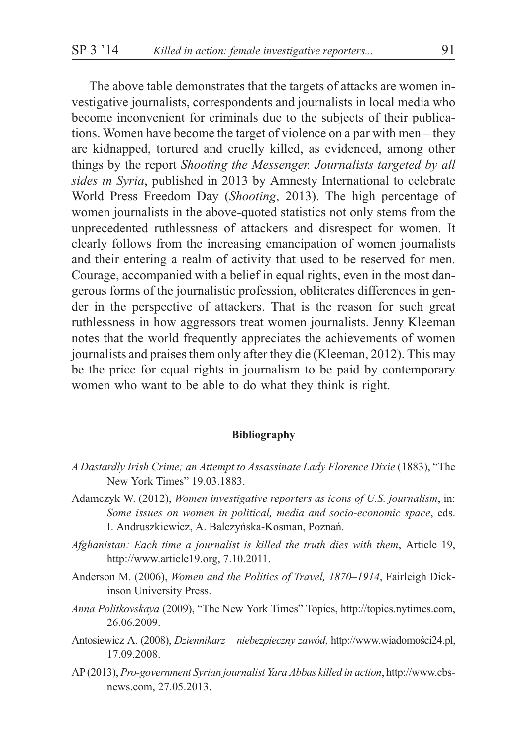The above table demonstrates that the targets of attacks are women investigative journalists, correspondents and journalists in local media who become inconvenient for criminals due to the subjects of their publications. Women have become the target of violence on a par with men – they are kidnapped, tortured and cruelly killed, as evidenced, among other things by the report *Shooting the Messenger. Journalists targeted by all sides in Syria*, published in 2013 by Amnesty International to celebrate World Press Freedom Day (*Shooting*, 2013). The high percentage of women journalists in the above-quoted statistics not only stems from the unprecedented ruthlessness of attackers and disrespect for women. It clearly follows from the increasing emancipation of women journalists and their entering a realm of activity that used to be reserved for men. Courage, accompanied with a belief in equal rights, even in the most dangerous forms of the journalistic profession, obliterates differences in gender in the perspective of attackers. That is the reason for such great ruthlessness in how aggressors treat women journalists. Jenny Kleeman notes that the world frequently appreciates the achievements of women journalists and praises them only after they die (Kleeman, 2012). This may be the price for equal rights in journalism to be paid by contemporary women who want to be able to do what they think is right.

#### **Bibliography**

- *A Dastardly Irish Crime; an Attempt to Assassinate Lady Florence Dixie* (1883), "The New York Times" 19.03.1883.
- Adamczyk W. (2012), *Women investigative reporters as icons of U.S. journalism*, in: *Some issues on women in political, media and socio-economic space*, eds. I. Andruszkiewicz, A. Balczyñska-Kosman, Poznañ.
- *Afghanistan: Each time a journalist is killed the truth dies with them*, Article 19, http://www.article19.org, 7.10.2011.
- Anderson M. (2006), *Women and the Politics of Travel, 1870–1914*, Fairleigh Dickinson University Press.
- *Anna Politkovskaya* (2009), "The New York Times" Topics, http://topics.nytimes.com, 26.06.2009.
- Antosiewicz A. (2008), *Dziennikarz niebezpieczny zawód*, http://www.wiadomości24.pl, 17.09.2008.
- AP (2013), *Pro-government Syrian journalist Yara Abbas killed in action*, http://www.cbsnews.com, 27.05.2013.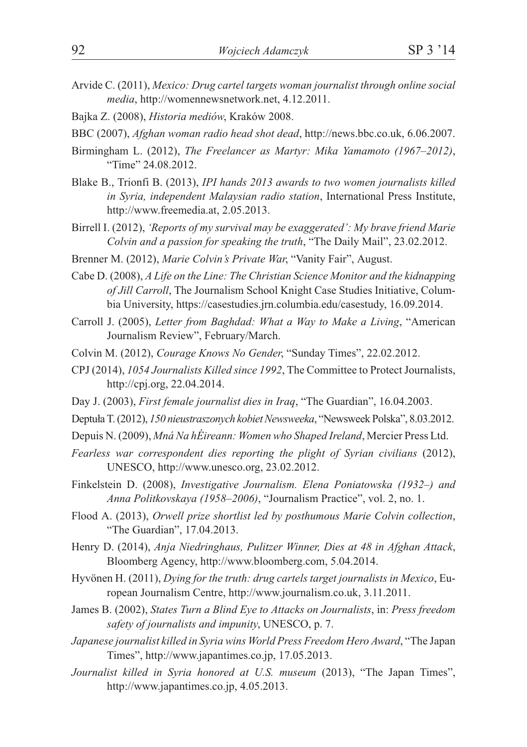- Arvide C. (2011), *Mexico: Drug cartel targets woman journalist through online social media*, http://womennewsnetwork.net, 4.12.2011.
- Bajka Z. (2008), *Historia mediów*, Kraków 2008.
- BBC (2007), *Afghan woman radio head shot dead*, http://news.bbc.co.uk, 6.06.2007.
- Birmingham L. (2012), *The Freelancer as Martyr: Mika Yamamoto (1967–2012)*, "Time" 24.08.2012.
- Blake B., Trionfi B. (2013), *IPI hands 2013 awards to two women journalists killed in Syria, independent Malaysian radio station*, International Press Institute, http://www.freemedia.at, 2.05.2013.
- Birrell I. (2012), *'Reports of my survival may be exaggerated': My brave friend Marie Colvin and a passion for speaking the truth*, "The Daily Mail", 23.02.2012.
- Brenner M. (2012), *Marie Colvin's Private War*, "Vanity Fair", August.
- Cabe D. (2008), *A Life on the Line: The Christian Science Monitor and the kidnapping of Jill Carroll*, The Journalism School Knight Case Studies Initiative, Columbia University, https://casestudies.jrn.columbia.edu/casestudy, 16.09.2014.
- Carroll J. (2005), *Letter from Baghdad: What a Way to Make a Living*, "American Journalism Review", February/March.
- Colvin M. (2012), *Courage Knows No Gender*, "Sunday Times", 22.02.2012.
- CPJ (2014), *1054 Journalists Killed since 1992*, The Committee to Protect Journalists, http://cpj.org, 22.04.2014.
- Day J. (2003), *First female journalist dies in Iraq*, "The Guardian", 16.04.2003.
- Deptu³a T. (2012), *150 nieustraszonych kobiet Newsweeka*, "Newsweek Polska", 8.03.2012.
- Depuis N. (2009), *Mná Na hÉireann: Women who Shaped Ireland*, Mercier Press Ltd.
- *Fearless war correspondent dies reporting the plight of Syrian civilians* (2012), UNESCO, http://www.unesco.org, 23.02.2012.
- Finkelstein D. (2008), *Investigative Journalism. Elena Poniatowska (1932–) and Anna Politkovskaya (1958–2006)*, "Journalism Practice", vol. 2, no. 1.
- Flood A. (2013), *Orwell prize shortlist led by posthumous Marie Colvin collection*, "The Guardian", 17.04.2013.
- Henry D. (2014), *Anja Niedringhaus, Pulitzer Winner, Dies at 48 in Afghan Attack*, Bloomberg Agency, http://www.bloomberg.com, 5.04.2014.
- Hyvönen H. (2011), *Dying for the truth: drug cartels target journalists in Mexico*, European Journalism Centre, http://www.journalism.co.uk, 3.11.2011.
- James B. (2002), *States Turn a Blind Eye to Attacks on Journalists*, in: *Press freedom safety of journalists and impunity*, UNESCO, p. 7.
- *Japanese journalist killed in Syria wins World Press Freedom Hero Award*, "The Japan Times", http://www.japantimes.co.jp, 17.05.2013.
- *Journalist killed in Syria honored at U.S. museum* (2013), "The Japan Times", http://www.japantimes.co.jp, 4.05.2013.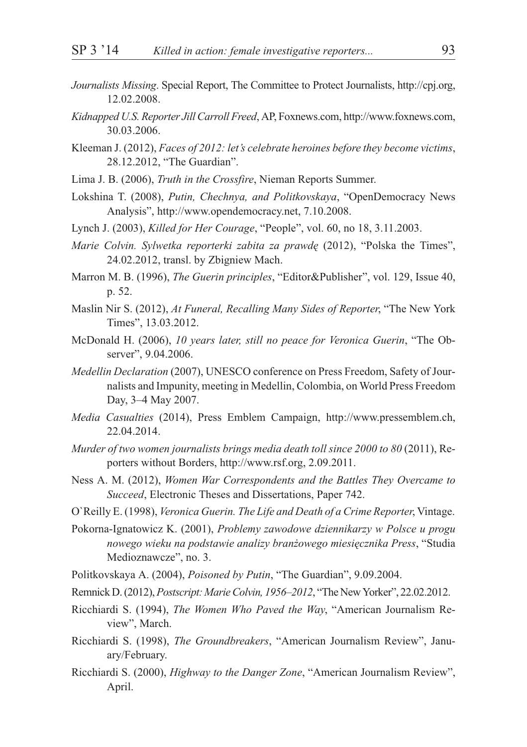- *Journalists Missing*. Special Report, The Committee to Protect Journalists, http://cpj.org, 12.02.2008.
- *Kidnapped U.S. Reporter Jill Carroll Freed*, AP, Foxnews.com, http://www.foxnews.com, 30.03.2006.
- Kleeman J. (2012), *Faces of 2012: let's celebrate heroines before they become victims*, 28.12.2012, "The Guardian".
- Lima J. B. (2006), *Truth in the Crossfire*, Nieman Reports Summer.
- Lokshina T. (2008), *Putin, Chechnya, and Politkovskaya*, "OpenDemocracy News Analysis", http://www.opendemocracy.net, 7.10.2008.
- Lynch J. (2003), *Killed for Her Courage*, "People", vol. 60, no 18, 3.11.2003.
- *Marie Colvin. Sylwetka reporterki zabita za prawdê* (2012), "Polska the Times", 24.02.2012, transl. by Zbigniew Mach.
- Marron M. B. (1996), *The Guerin principles*, "Editor&Publisher", vol. 129, Issue 40, p. 52.
- Maslin Nir S. (2012), *At Funeral, Recalling Many Sides of Reporter*, "The New York Times", 13.03.2012.
- McDonald H. (2006), *10 years later, still no peace for Veronica Guerin*, "The Observer", 9.04.2006.
- *Medellin Declaration* (2007), UNESCO conference on Press Freedom, Safety of Journalists and Impunity, meeting in Medellin, Colombia, on World Press Freedom Day, 3–4 May 2007.
- *Media Casualties* (2014), Press Emblem Campaign, http://www.pressemblem.ch, 22.04.2014.
- *Murder of two women journalists brings media death toll since 2000 to 80* (2011), Reporters without Borders, http://www.rsf.org, 2.09.2011.
- Ness A. M. (2012), *Women War Correspondents and the Battles They Overcame to Succeed*, Electronic Theses and Dissertations, Paper 742.
- O`Reilly E. (1998), *Veronica Guerin. The Life and Death of a Crime Reporter*, Vintage.
- Pokorna-Ignatowicz K. (2001), *Problemy zawodowe dziennikarzy w Polsce u progu nowego wieku na podstawie analizy bran¿owego miesiêcznika Press*, "Studia Medioznawcze", no. 3.
- Politkovskaya A. (2004), *Poisoned by Putin*, "The Guardian", 9.09.2004.
- Remnick D. (2012),*Postscript: Marie Colvin, 1956–2012*, "The New Yorker", 22.02.2012.
- Ricchiardi S. (1994), *The Women Who Paved the Way*, "American Journalism Review", March.
- Ricchiardi S. (1998), *The Groundbreakers*, "American Journalism Review", January/February.
- Ricchiardi S. (2000), *Highway to the Danger Zone*, "American Journalism Review", April.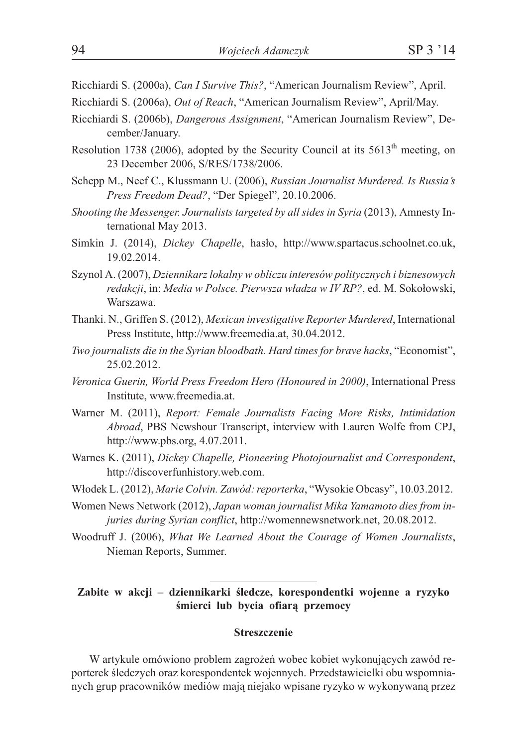- Ricchiardi S. (2000a), *Can I Survive This?*, "American Journalism Review", April.
- Ricchiardi S. (2006a), *Out of Reach*, "American Journalism Review", April/May.
- Ricchiardi S. (2006b), *Dangerous Assignment*, "American Journalism Review", December/January.
- Resolution 1738 (2006), adopted by the Security Council at its  $5613<sup>th</sup>$  meeting, on 23 December 2006, S/RES/1738/2006.
- Schepp M., Neef C., Klussmann U. (2006), *Russian Journalist Murdered. Is Russia's Press Freedom Dead?*, "Der Spiegel", 20.10.2006.
- *Shooting the Messenger. Journalists targeted by all sides in Syria* (2013), Amnesty International May 2013.
- Simkin J. (2014), *Dickey Chapelle*, hasło, http://www.spartacus.schoolnet.co.uk, 19.02.2014.
- Szynol A. (2007), *Dziennikarz lokalny w obliczu interesów politycznych i biznesowych redakcji, in: Media w Polsce. Pierwsza władza w IV RP?, ed. M. Sokołowski,* Warszawa.
- Thanki. N., Griffen S. (2012), *Mexican investigative Reporter Murdered*, International Press Institute, http://www.freemedia.at, 30.04.2012.
- *Two journalists die in the Syrian bloodbath. Hard times for brave hacks*, "Economist", 25.02.2012.
- *Veronica Guerin, World Press Freedom Hero (Honoured in 2000)*, International Press Institute, www.freemedia.at.
- Warner M. (2011), *Report: Female Journalists Facing More Risks, Intimidation Abroad*, PBS Newshour Transcript, interview with Lauren Wolfe from CPJ, http://www.pbs.org, 4.07.2011.
- Warnes K. (2011), *Dickey Chapelle, Pioneering Photojournalist and Correspondent*, http://discoverfunhistory.web.com.
- W³odek L. (2012), *Marie Colvin. Zawód: reporterka*, "Wysokie Obcasy", 10.03.2012.
- Women News Network (2012), *Japan woman journalist Mika Yamamoto dies from injuries during Syrian conflict*, http://womennewsnetwork.net, 20.08.2012.
- Woodruff J. (2006), *What We Learned About the Courage of Women Journalists*, Nieman Reports, Summer.

## **Zabite w akcji – dziennikarki œledcze, korespondentki wojenne a ryzyko** śmierci lub bycia ofiarą przemocy

### **Streszczenie**

W artykule omówiono problem zagrożeń wobec kobiet wykonujących zawód reporterek śledczych oraz korespondentek wojennych. Przedstawicielki obu wspomnianych grup pracowników mediów mają niejako wpisane ryzyko w wykonywaną przez